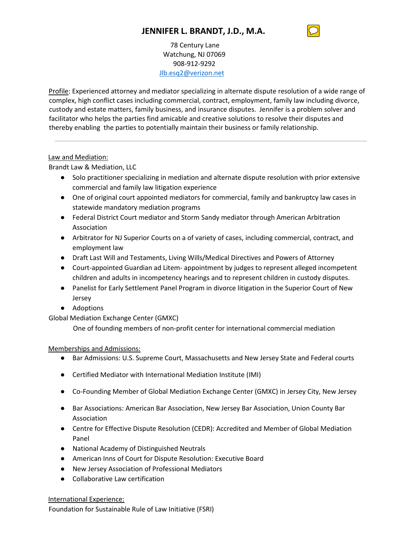78 Century Lane Watchung, NJ 07069 908-912-9292 [Jlb.esq2@verizon.net](mailto:Jlb.esq2@verizon.net)

Profile: Experienced attorney and mediator specializing in alternate dispute resolution of a wide range of complex, high conflict cases including commercial, contract, employment, family law including divorce, custody and estate matters, family business, and insurance disputes. Jennifer is a problem solver and facilitator who helps the parties find amicable and creative solutions to resolve their disputes and thereby enabling the parties to potentially maintain their business or family relationship.

## Law and Mediation:

Brandt Law & Mediation, LLC

- Solo practitioner specializing in mediation and alternate dispute resolution with prior extensive commercial and family law litigation experience
- One of original court appointed mediators for commercial, family and bankruptcy law cases in statewide mandatory mediation programs
- Federal District Court mediator and Storm Sandy mediator through American Arbitration Association
- Arbitrator for NJ Superior Courts on a of variety of cases, including commercial, contract, and employment law
- Draft Last Will and Testaments, Living Wills/Medical Directives and Powers of Attorney
- Court-appointed Guardian ad Litem- appointment by judges to represent alleged incompetent children and adults in incompetency hearings and to represent children in custody disputes.
- Panelist for Early Settlement Panel Program in divorce litigation in the Superior Court of New Jersey
- Adoptions

Global Mediation Exchange Center (GMXC)

One of founding members of non-profit center for international commercial mediation

## Memberships and Admissions:

- Bar Admissions: U.S. Supreme Court, Massachusetts and New Jersey State and Federal courts
- Certified Mediator with International Mediation Institute (IMI)
- Co-Founding Member of Global Mediation Exchange Center (GMXC) in Jersey City, New Jersey
- Bar Associations: American Bar Association, New Jersey Bar Association, Union County Bar Association
- Centre for Effective Dispute Resolution (CEDR): Accredited and Member of Global Mediation Panel
- National Academy of Distinguished Neutrals
- American Inns of Court for Dispute Resolution: Executive Board
- New Jersey Association of Professional Mediators
- Collaborative Law certification

#### International Experience:

Foundation for Sustainable Rule of Law Initiative (FSRI)